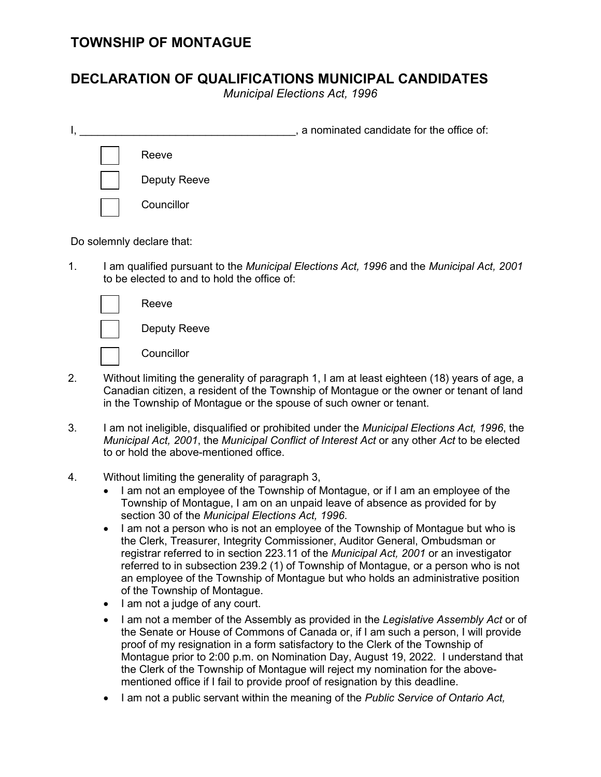## **DECLARATION OF QUALIFICATIONS MUNICIPAL CANDIDATES**

*Municipal Elections Act, 1996*

|  |                     | a nominated candidate for the office of: |
|--|---------------------|------------------------------------------|
|  | Reeve               |                                          |
|  | <b>Deputy Reeve</b> |                                          |
|  | Councillor          |                                          |

Do solemnly declare that:

1. I am qualified pursuant to the *Municipal Elections Act, 1996* and the *Municipal Act, 2001* to be elected to and to hold the office of:

| Reeve               |
|---------------------|
| <b>Deputy Reeve</b> |
| Councillor          |

- 2. Without limiting the generality of paragraph 1, I am at least eighteen (18) years of age, a Canadian citizen, a resident of the Township of Montague or the owner or tenant of land in the Township of Montague or the spouse of such owner or tenant.
- 3. I am not ineligible, disqualified or prohibited under the *Municipal Elections Act, 1996*, the *Municipal Act, 2001*, the *Municipal Conflict of Interest Act* or any other *Act* to be elected to or hold the above-mentioned office.
- 4. Without limiting the generality of paragraph 3,
	- I am not an employee of the Township of Montague, or if I am an employee of the Township of Montague, I am on an unpaid leave of absence as provided for by section 30 of the *Municipal Elections Act, 1996*.
	- I am not a person who is not an employee of the Township of Montague but who is the Clerk, Treasurer, Integrity Commissioner, Auditor General, Ombudsman or registrar referred to in section 223.11 of the *Municipal Act, 2001* or an investigator referred to in subsection 239.2 (1) of Township of Montague, or a person who is not an employee of the Township of Montague but who holds an administrative position of the Township of Montague.
	- I am not a judge of any court.
	- I am not a member of the Assembly as provided in the *Legislative Assembly Act* or of the Senate or House of Commons of Canada or, if I am such a person, I will provide proof of my resignation in a form satisfactory to the Clerk of the Township of Montague prior to 2:00 p.m. on Nomination Day, August 19, 2022. I understand that the Clerk of the Township of Montague will reject my nomination for the abovementioned office if I fail to provide proof of resignation by this deadline.
	- I am not a public servant within the meaning of the *Public Service of Ontario Act,*